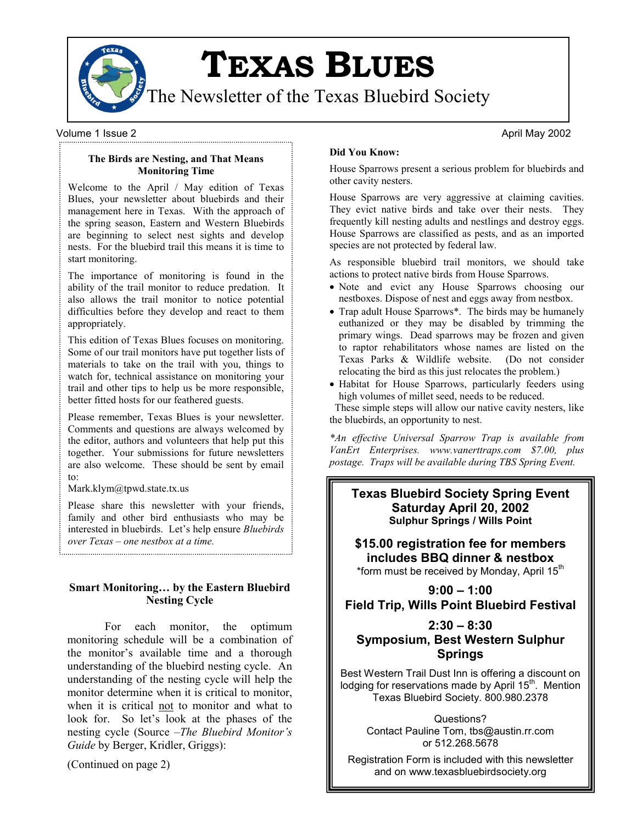

**TEXAS BLUES**

The Newsletter of the Texas Bluebird Society

Volume 1 Issue 2 **April May 2002** 2 April May 2002

**The Birds are Nesting, and That Means Monitoring Time**

Welcome to the April / May edition of Texas Blues, your newsletter about bluebirds and their management here in Texas. With the approach of the spring season, Eastern and Western Bluebirds are beginning to select nest sights and develop nests. For the bluebird trail this means it is time to start monitoring.

The importance of monitoring is found in the ability of the trail monitor to reduce predation. It also allows the trail monitor to notice potential difficulties before they develop and react to them appropriately.

This edition of Texas Blues focuses on monitoring. Some of our trail monitors have put together lists of materials to take on the trail with you, things to watch for, technical assistance on monitoring your trail and other tips to help us be more responsible, better fitted hosts for our feathered guests.

Please remember, Texas Blues is your newsletter. Comments and questions are always welcomed by the editor, authors and volunteers that help put this together. Your submissions for future newsletters are also welcome. These should be sent by email to:

Mark.klym@tpwd.state.tx.us

Please share this newsletter with your friends, family and other bird enthusiasts who may be interested in bluebirds. Let's help ensure *Bluebirds over Texas – one nestbox at a time.*

## **Smart Monitoring… by the Eastern Bluebird Nesting Cycle**

For each monitor, the optimum monitoring schedule will be a combination of the monitor's available time and a thorough understanding of the bluebird nesting cycle. An understanding of the nesting cycle will help the monitor determine when it is critical to monitor, when it is critical not to monitor and what to look for. So let's look at the phases of the nesting cycle (Source –*The Bluebird Monitor's Guide* by Berger, Kridler, Griggs):

(Continued on page 2)

### **Did You Know:**

House Sparrows present a serious problem for bluebirds and other cavity nesters.

House Sparrows are very aggressive at claiming cavities. They evict native birds and take over their nests. They frequently kill nesting adults and nestlings and destroy eggs. House Sparrows are classified as pests, and as an imported species are not protected by federal law.

As responsible bluebird trail monitors, we should take actions to protect native birds from House Sparrows.

- Note and evict any House Sparrows choosing our nestboxes. Dispose of nest and eggs away from nestbox.
- Trap adult House Sparrows\*. The birds may be humanely euthanized or they may be disabled by trimming the primary wings. Dead sparrows may be frozen and given to raptor rehabilitators whose names are listed on the Texas Parks & Wildlife website. (Do not consider relocating the bird as this just relocates the problem.)
- Habitat for House Sparrows, particularly feeders using high volumes of millet seed, needs to be reduced.

These simple steps will allow our native cavity nesters, like the bluebirds, an opportunity to nest.

*\*An effective Universal Sparrow Trap is available from VanErt Enterprises. www.vanerttraps.com \$7.00, plus postage. Traps will be available during TBS Spring Event.* 

**Texas Bluebird Society Spring Event Saturday April 20, 2002 Sulphur Springs / Wills Point** 

**\$15.00 registration fee for members includes BBQ dinner & nestbox** \*form must be received by Monday, April 15<sup>th</sup>

**9:00 – 1:00 Field Trip, Wills Point Bluebird Festival**

# **2:30 – 8:30 Symposium, Best Western Sulphur Springs**

Best Western Trail Dust Inn is offering a discount on lodging for reservations made by April 15<sup>th</sup>. Mention Texas Bluebird Society. 800.980.2378

Questions? Contact Pauline Tom, tbs@austin.rr.com or 512.268.5678

Registration Form is included with this newsletter and on www.texasbluebirdsociety.org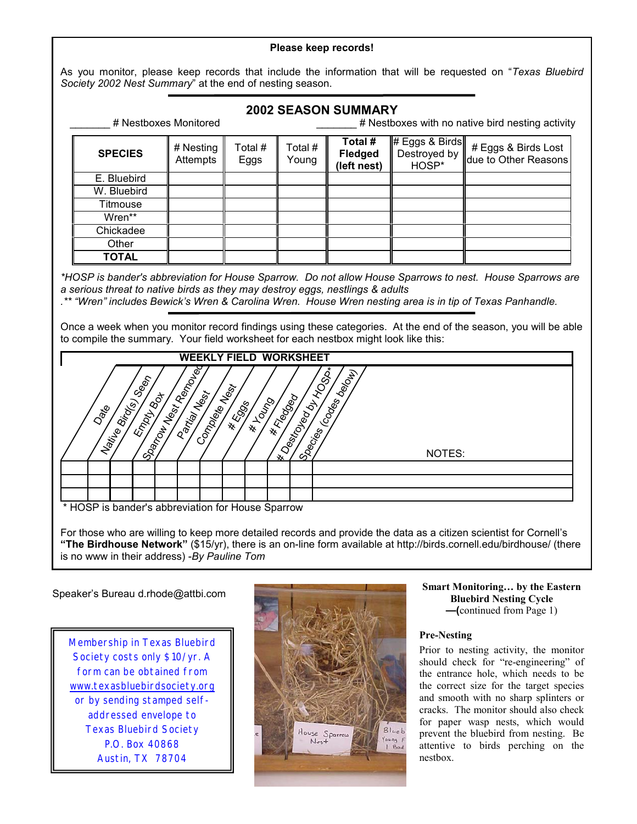### **Please keep records!**

As you monitor, please keep records that include the information that will be requested on "*Texas Bluebird Society 2002 Nest Summary*" at the end of nesting season.

# **2002 SEASON SUMMARY**

| # Nestboxes Monitored |                       |                 | # Nestboxes with no native bird nesting activity |                                          |                                         |                                             |
|-----------------------|-----------------------|-----------------|--------------------------------------------------|------------------------------------------|-----------------------------------------|---------------------------------------------|
| <b>SPECIES</b>        | # Nesting<br>Attempts | Total #<br>Eggs | Total #<br>Young                                 | Total #<br><b>Fledged</b><br>(left nest) | # Eggs & Birds<br>Destroyed by<br>HOSP* | # Eggs & Birds Lost<br>due to Other Reasons |
| E. Bluebird           |                       |                 |                                                  |                                          |                                         |                                             |
| W. Bluebird           |                       |                 |                                                  |                                          |                                         |                                             |
| Titmouse              |                       |                 |                                                  |                                          |                                         |                                             |
| Wren**                |                       |                 |                                                  |                                          |                                         |                                             |
| Chickadee             |                       |                 |                                                  |                                          |                                         |                                             |
| Other                 |                       |                 |                                                  |                                          |                                         |                                             |
| <b>TOTAL</b>          |                       |                 |                                                  |                                          |                                         |                                             |

*\*HOSP is bander's abbreviation for House Sparrow. Do not allow House Sparrows to nest. House Sparrows are a serious threat to native birds as they may destroy eggs, nestlings & adults*

*.\*\* "Wren" includes Bewick's Wren & Carolina Wren. House Wren nesting area is in tip of Texas Panhandle.* 

Once a week when you monitor record findings using these categories. At the end of the season, you will be able to compile the summary. Your field worksheet for each nestbox might look like this:



For those who are willing to keep more detailed records and provide the data as a citizen scientist for Cornell's **"The Birdhouse Network"** (\$15/yr), there is an on-line form available at http://birds.cornell.edu/birdhouse/ (there is no www in their address) -*By Pauline Tom*

### Speaker's Bureau d.rhode@attbi.com

Membership in Texas Bluebird Society costs only \$10/yr. A form can be obtained from [www.texasbluebirdsociety.org](http://www.texasbluebirdsociety.org/) or by sending stamped selfaddressed envelope to Texas Bluebird Society P.O. Box 40868 Austin, TX 78704



### **Smart Monitoring… by the Eastern Bluebird Nesting Cycle —(**continued from Page 1)

# **Pre-Nesting**

Prior to nesting activity, the monitor should check for "re-engineering" of the entrance hole, which needs to be the correct size for the target species and smooth with no sharp splinters or cracks. The monitor should also check for paper wasp nests, which would prevent the bluebird from nesting. Be attentive to birds perching on the nestbox.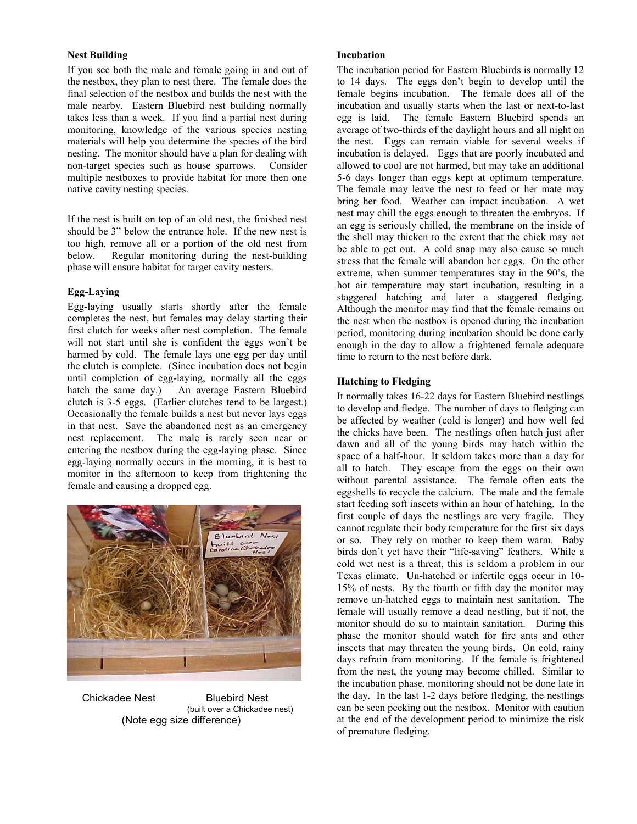### **Nest Building**

If you see both the male and female going in and out of the nestbox, they plan to nest there. The female does the final selection of the nestbox and builds the nest with the male nearby. Eastern Bluebird nest building normally takes less than a week. If you find a partial nest during monitoring, knowledge of the various species nesting materials will help you determine the species of the bird nesting. The monitor should have a plan for dealing with non-target species such as house sparrows. Consider multiple nestboxes to provide habitat for more then one native cavity nesting species.

If the nest is built on top of an old nest, the finished nest should be 3" below the entrance hole. If the new nest is too high, remove all or a portion of the old nest from below. Regular monitoring during the nest-building phase will ensure habitat for target cavity nesters.

### **Egg-Laying**

Egg-laying usually starts shortly after the female completes the nest, but females may delay starting their first clutch for weeks after nest completion. The female will not start until she is confident the eggs won't be harmed by cold. The female lays one egg per day until the clutch is complete. (Since incubation does not begin until completion of egg-laying, normally all the eggs hatch the same day.) An average Eastern Bluebird clutch is 3-5 eggs. (Earlier clutches tend to be largest.) Occasionally the female builds a nest but never lays eggs in that nest. Save the abandoned nest as an emergency nest replacement. The male is rarely seen near or entering the nestbox during the egg-laying phase. Since egg-laying normally occurs in the morning, it is best to monitor in the afternoon to keep from frightening the female and causing a dropped egg.



Chickadee Nest Bluebird Nest (built over a Chickadee nest) (Note egg size difference)

### **Incubation**

The incubation period for Eastern Bluebirds is normally 12 to 14 days. The eggs don't begin to develop until the female begins incubation. The female does all of the incubation and usually starts when the last or next-to-last egg is laid. The female Eastern Bluebird spends an average of two-thirds of the daylight hours and all night on the nest. Eggs can remain viable for several weeks if incubation is delayed. Eggs that are poorly incubated and allowed to cool are not harmed, but may take an additional 5-6 days longer than eggs kept at optimum temperature. The female may leave the nest to feed or her mate may bring her food. Weather can impact incubation. A wet nest may chill the eggs enough to threaten the embryos. If an egg is seriously chilled, the membrane on the inside of the shell may thicken to the extent that the chick may not be able to get out. A cold snap may also cause so much stress that the female will abandon her eggs. On the other extreme, when summer temperatures stay in the 90's, the hot air temperature may start incubation, resulting in a staggered hatching and later a staggered fledging. Although the monitor may find that the female remains on the nest when the nestbox is opened during the incubation period, monitoring during incubation should be done early enough in the day to allow a frightened female adequate time to return to the nest before dark.

### **Hatching to Fledging**

It normally takes 16-22 days for Eastern Bluebird nestlings to develop and fledge. The number of days to fledging can be affected by weather (cold is longer) and how well fed the chicks have been. The nestlings often hatch just after dawn and all of the young birds may hatch within the space of a half-hour. It seldom takes more than a day for all to hatch. They escape from the eggs on their own without parental assistance. The female often eats the eggshells to recycle the calcium. The male and the female start feeding soft insects within an hour of hatching. In the first couple of days the nestlings are very fragile. They cannot regulate their body temperature for the first six days or so. They rely on mother to keep them warm. Baby birds don't yet have their "life-saving" feathers. While a cold wet nest is a threat, this is seldom a problem in our Texas climate. Un-hatched or infertile eggs occur in 10- 15% of nests. By the fourth or fifth day the monitor may remove un-hatched eggs to maintain nest sanitation. The female will usually remove a dead nestling, but if not, the monitor should do so to maintain sanitation. During this phase the monitor should watch for fire ants and other insects that may threaten the young birds. On cold, rainy days refrain from monitoring. If the female is frightened from the nest, the young may become chilled. Similar to the incubation phase, monitoring should not be done late in the day. In the last 1-2 days before fledging, the nestlings can be seen peeking out the nestbox. Monitor with caution at the end of the development period to minimize the risk of premature fledging.